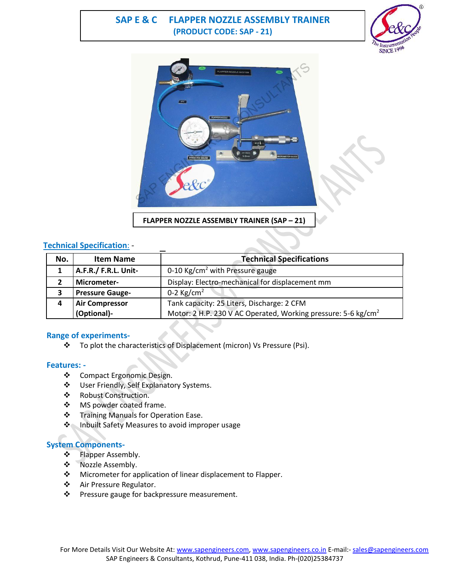# **SAP E & C FLAPPER NOZZLE ASSEMBLY TRAINER (PRODUCT CODE: SAP - 21)**





## **Technical Specification**: -

| No. | <b>Item Name</b>       | <b>Technical Specifications</b>                                           |
|-----|------------------------|---------------------------------------------------------------------------|
|     | A.F.R./ F.R.L. Unit-   | 0-10 Kg/cm <sup>2</sup> with Pressure gauge                               |
|     | Micrometer-            | Display: Electro-mechanical for displacement mm                           |
|     | <b>Pressure Gauge-</b> | 0-2 $\text{Kg/cm}^2$                                                      |
|     | <b>Air Compressor</b>  | Tank capacity: 25 Liters, Discharge: 2 CFM                                |
|     | (Optional)-            | Motor: 2 H.P. 230 V AC Operated, Working pressure: 5-6 kg/cm <sup>2</sup> |

## **Range of experiments-**

\* To plot the characteristics of Displacement (micron) Vs Pressure (Psi).

#### **Features: -**

- ❖ Compact Ergonomic Design.
- User Friendly, Self Explanatory Systems.
- Robust Construction.
- MS powder coated frame.
- Training Manuals for Operation Ease.
- ❖ Inbuilt Safety Measures to avoid improper usage

## **System Components-**

- ❖ Flapper Assembly.
- \* Nozzle Assembly.
- ❖ Micrometer for application of linear displacement to Flapper.
- Air Pressure Regulator.
- ❖ Pressure gauge for backpressure measurement.